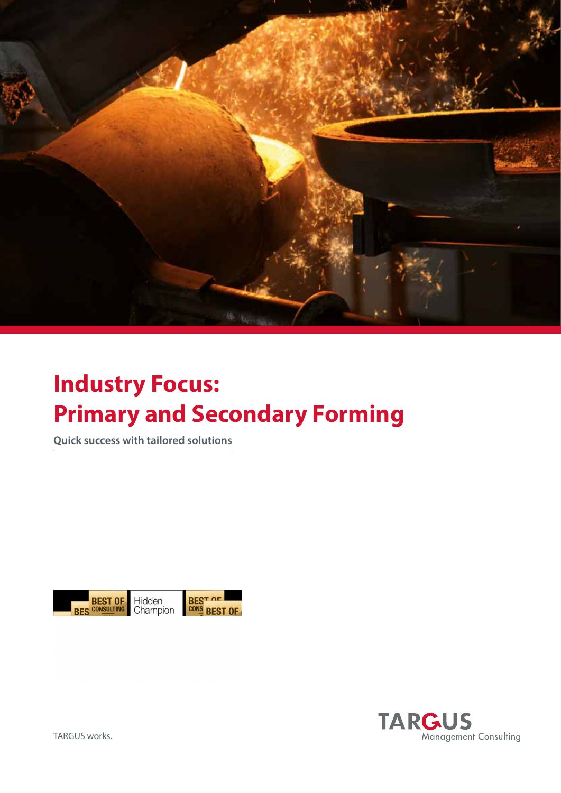

# **Industry Focus: Primary and Secondary Forming**

**Quick success with tailored solutions**

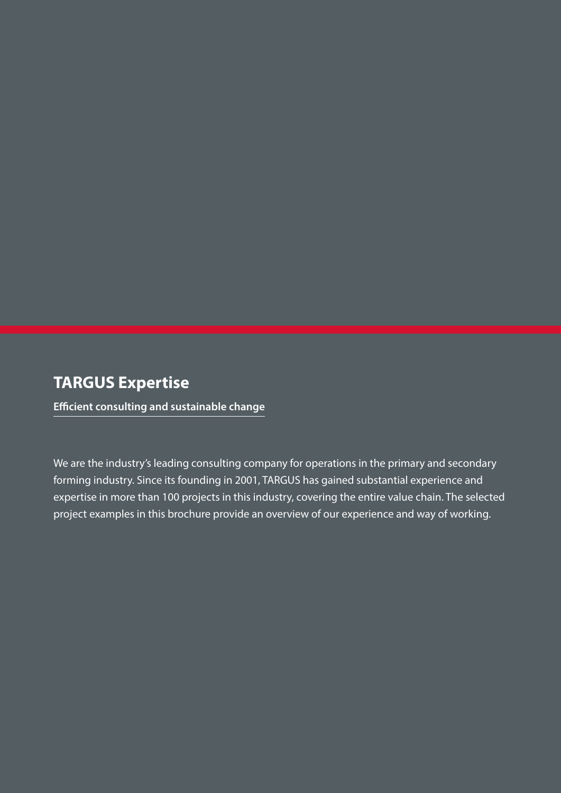### **TARGUS Expertise**

**Efficient consulting and sustainable change**

We are the industry's leading consulting company for operations in the primary and secondary forming industry. Since its founding in 2001, TARGUS has gained substantial experience and expertise in more than 100 projects in this industry, covering the entire value chain. The selected project examples in this brochure provide an overview of our experience and way of working.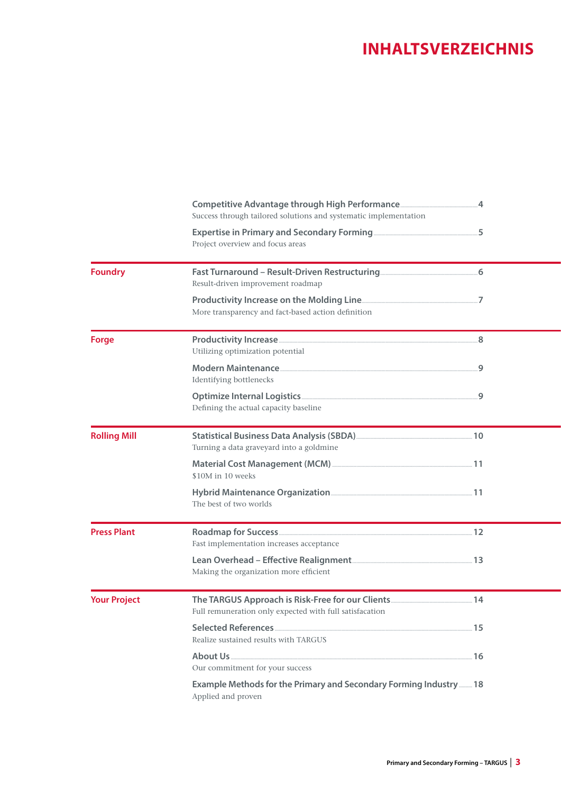### **INHALTSVERZEICHNIS**

|                     | Success through tailored solutions and systematic implementation                         |  |
|---------------------|------------------------------------------------------------------------------------------|--|
|                     | Project overview and focus areas                                                         |  |
| <b>Foundry</b>      | Result-driven improvement roadmap                                                        |  |
|                     | More transparency and fact-based action definition                                       |  |
| <b>Forge</b>        | Utilizing optimization potential                                                         |  |
|                     | Identifying bottlenecks                                                                  |  |
|                     | Defining the actual capacity baseline                                                    |  |
| <b>Rolling Mill</b> | Turning a data graveyard into a goldmine                                                 |  |
|                     | \$10M in 10 weeks                                                                        |  |
|                     | The best of two worlds                                                                   |  |
| <b>Press Plant</b>  | Fast implementation increases acceptance                                                 |  |
|                     | Making the organization more efficient                                                   |  |
| <b>Your Project</b> | Full remuneration only expected with full satisfacation                                  |  |
|                     | Realize sustained results with TARGUS                                                    |  |
|                     | Our commitment for your success                                                          |  |
|                     | Example Methods for the Primary and Secondary Forming Industry  18<br>Applied and proven |  |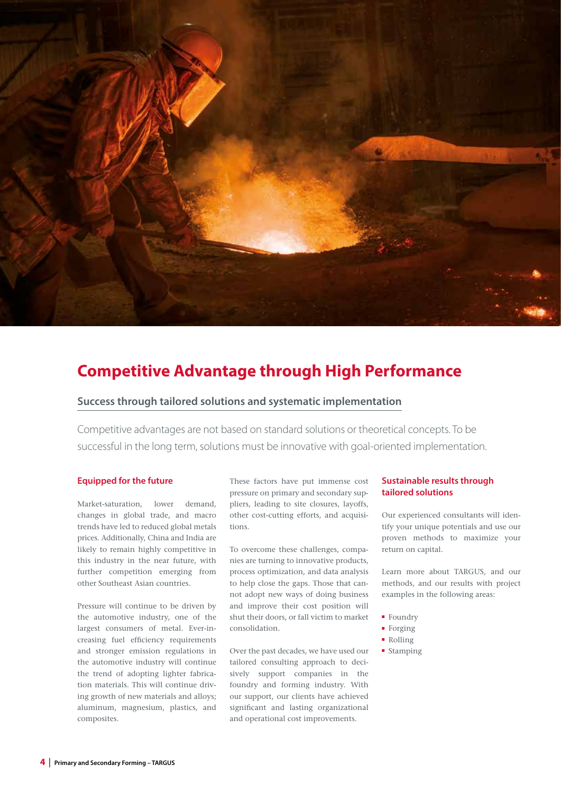

### **Competitive Advantage through High Performance**

#### **Success through tailored solutions and systematic implementation**

Competitive advantages are not based on standard solutions or theoretical concepts. To be successful in the long term, solutions must be innovative with goal-oriented implementation.

#### **Equipped for the future**

Market-saturation, lower demand, changes in global trade, and macro trends have led to reduced global metals prices. Additionally, China and India are likely to remain highly competitive in this industry in the near future, with further competition emerging from other Southeast Asian countries.

Pressure will continue to be driven by the automotive industry, one of the largest consumers of metal. Ever-increasing fuel efficiency requirements and stronger emission regulations in the automotive industry will continue the trend of adopting lighter fabrication materials. This will continue driving growth of new materials and alloys; aluminum, magnesium, plastics, and composites.

These factors have put immense cost pressure on primary and secondary suppliers, leading to site closures, layoffs, other cost-cutting efforts, and acquisitions.

To overcome these challenges, companies are turning to innovative products, process optimization, and data analysis to help close the gaps. Those that cannot adopt new ways of doing business and improve their cost position will shut their doors, or fall victim to market consolidation.

Over the past decades, we have used our tailored consulting approach to decisively support companies in the foundry and forming industry. With our support, our clients have achieved significant and lasting organizational and operational cost improvements.

#### **Sustainable results through tailored solutions**

Our experienced consultants will identify your unique potentials and use our proven methods to maximize your return on capital.

Learn more about TARGUS, and our methods, and our results with project examples in the following areas:

- Foundry
- Forging
- Rolling
- Stamping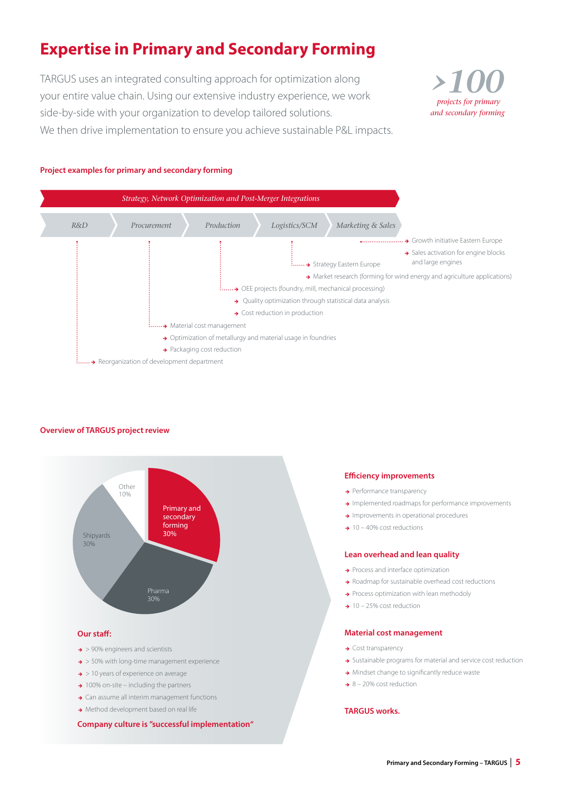# **Expertise in Primary and Secondary Forming**

TARGUS uses an integrated consulting approach for optimization along your entire value chain. Using our extensive industry experience, we work side-by-side with your organization to develop tailored solutions. We then drive implementation to ensure you achieve sustainable P&L impacts.



#### **Project examples for primary and secondary forming**



#### **Overview of TARGUS project review**



**Company culture is "successful implementation"**

#### **Efficiency improvements**

- $\rightarrow$  Performance transparency
- > Implemented roadmaps for performance improvements
- **a** Improvements in operational procedures
- $\rightarrow$  10 40% cost reductions

#### **Lean overhead and lean quality**

- $\rightarrow$  Process and interface optimization
- → Roadmap for sustainable overhead cost reductions
- $\rightarrow$  Process optimization with lean methodoly
- $\rightarrow$  10 25% cost reduction

#### **Material cost management**

- $\rightarrow$  Cost transparency
- Sustainable programs for material and service cost reduction
- $\rightarrow$  Mindset change to significantly reduce waste
- $\rightarrow$  8 20% cost reduction

#### **TARGUS works.**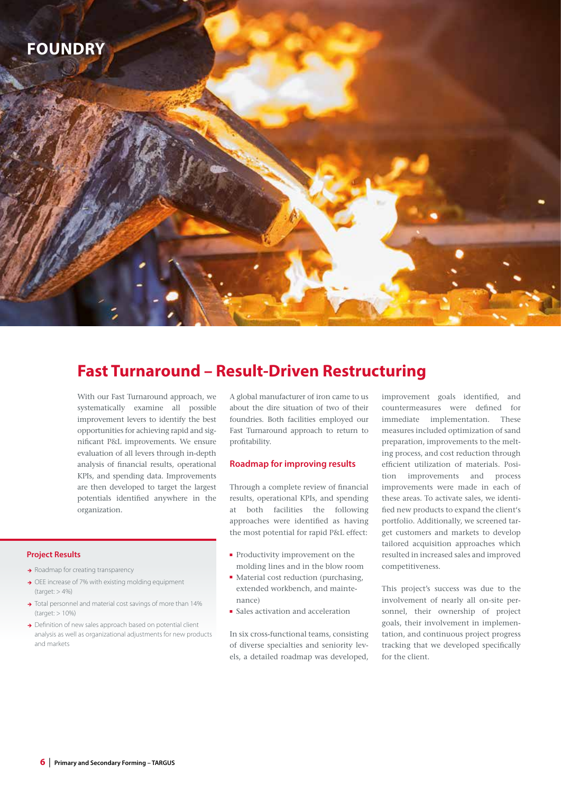

### **Fast Turnaround – Result-Driven Restructuring**

With our Fast Turnaround approach, we systematically examine all possible improvement levers to identify the best opportunities for achieving rapid and significant P&L improvements. We ensure evaluation of all levers through in-depth analysis of financial results, operational KPIs, and spending data. Improvements are then developed to target the largest potentials identified anywhere in the organization.

#### **Project Results**

- $\rightarrow$  Roadmap for creating transparency
- → OEE increase of 7% with existing molding equipment (target: > 4%)
- $\rightarrow$  Total personnel and material cost savings of more than 14% (target: > 10%)
- $\rightarrow$  Definition of new sales approach based on potential client analysis as well as organizational adjustments for new products and markets

A global manufacturer of iron came to us about the dire situation of two of their foundries. Both facilities employed our Fast Turnaround approach to return to profitability.

#### **Roadmap for improving results**

Through a complete review of financial results, operational KPIs, and spending at both facilities the following approaches were identified as having the most potential for rapid P&L effect:

- Productivity improvement on the molding lines and in the blow room
- Material cost reduction (purchasing, extended workbench, and maintenance)
- Sales activation and acceleration

In six cross-functional teams, consisting of diverse specialties and seniority levels, a detailed roadmap was developed, improvement goals identified, and countermeasures were defined for immediate implementation. These measures included optimization of sand preparation, improvements to the melting process, and cost reduction through efficient utilization of materials. Position improvements and process improvements were made in each of these areas. To activate sales, we identified new products to expand the client's portfolio. Additionally, we screened target customers and markets to develop tailored acquisition approaches which resulted in increased sales and improved competitiveness.

This project's success was due to the involvement of nearly all on-site personnel, their ownership of project goals, their involvement in implementation, and continuous project progress tracking that we developed specifically for the client.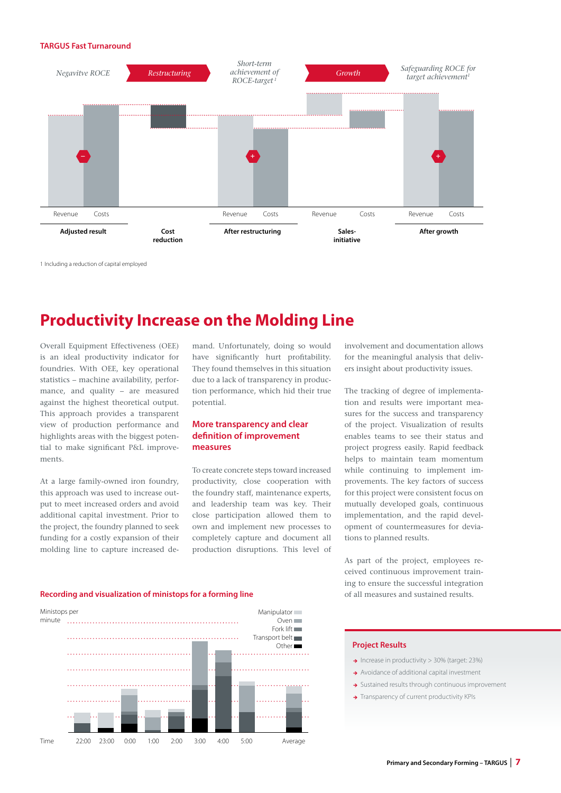#### **TARGUS Fast Turnaround**



1 Including a reduction of capital employed

### **Productivity Increase on the Molding Line**

Overall Equipment Effectiveness (OEE) is an ideal productivity indicator for foundries. With OEE, key operational statistics – machine availability, performance, and quality – are measured against the highest theoretical output. This approach provides a transparent view of production performance and highlights areas with the biggest potential to make significant P&L improvements.

At a large family-owned iron foundry, this approach was used to increase output to meet increased orders and avoid additional capital investment. Prior to the project, the foundry planned to seek funding for a costly expansion of their molding line to capture increased demand. Unfortunately, doing so would have significantly hurt profitability. They found themselves in this situation due to a lack of transparency in production performance, which hid their true potential.

#### **More transparency and clear definition of improvement measures**

To create concrete steps toward increased productivity, close cooperation with the foundry staff, maintenance experts, and leadership team was key. Their close participation allowed them to own and implement new processes to completely capture and document all production disruptions. This level of involvement and documentation allows for the meaningful analysis that delivers insight about productivity issues.

The tracking of degree of implementation and results were important measures for the success and transparency of the project. Visualization of results enables teams to see their status and project progress easily. Rapid feedback helps to maintain team momentum while continuing to implement improvements. The key factors of success for this project were consistent focus on mutually developed goals, continuous implementation, and the rapid development of countermeasures for deviations to planned results.

As part of the project, employees received continuous improvement training to ensure the successful integration of all measures and sustained results.

#### **Recording and visualization of ministops for a forming line**



- $\rightarrow$  Increase in productivity > 30% (target: 23%)
- $\rightarrow$  Avoidance of additional capital investment
- $\rightarrow$  Sustained results through continuous improvement
- $\rightarrow$  Transparency of current productivity KPIs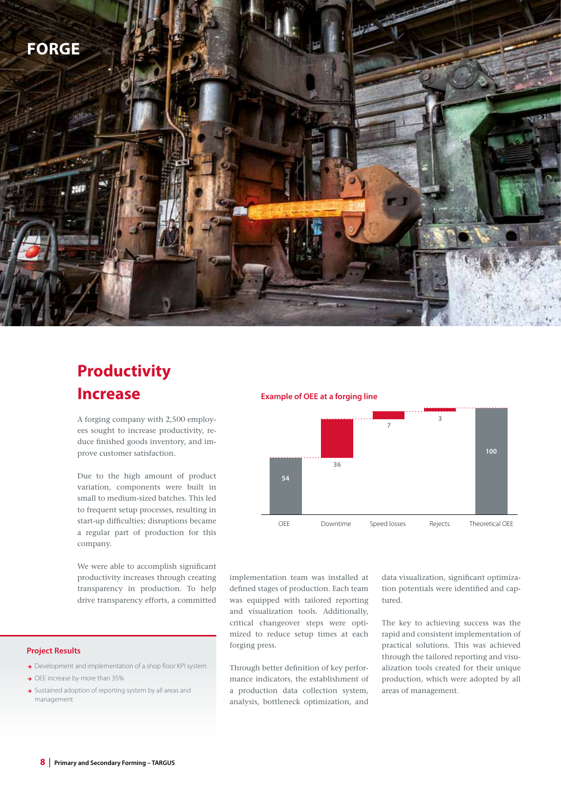

### **Productivity Increase**

A forging company with 2,500 employees sought to increase productivity, reduce finished goods inventory, and improve customer satisfaction.

Due to the high amount of product variation, components were built in small to medium-sized batches. This led to frequent setup processes, resulting in start-up difficulties; disruptions became a regular part of production for this company.

We were able to accomplish significant productivity increases through creating transparency in production. To help drive transparency efforts, a committed

#### **Project Results**

- → Development and implementation of a shop floor KPI system
- $\rightarrow$  OEE increase by more than 35%
- $\rightarrow$  Sustained adoption of reporting system by all areas and management

#### **Example of OEE at a forging line**



implementation team was installed at defined stages of production. Each team was equipped with tailored reporting and visualization tools. Additionally, critical changeover steps were optimized to reduce setup times at each forging press.

Through better definition of key performance indicators, the establishment of a production data collection system, analysis, bottleneck optimization, and data visualization, significant optimization potentials were identified and captured.

The key to achieving success was the rapid and consistent implementation of practical solutions. This was achieved through the tailored reporting and visualization tools created for their unique production, which were adopted by all areas of management.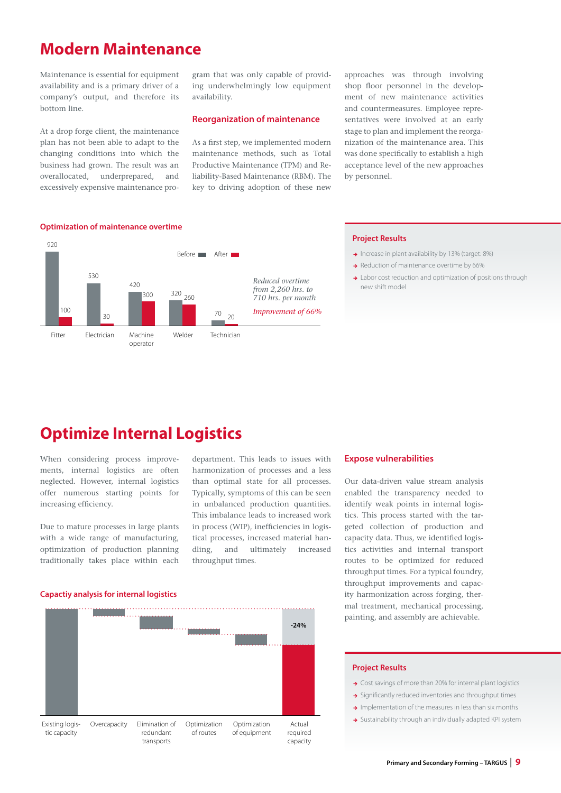### **Modern Maintenance**

Maintenance is essential for equipment availability and is a primary driver of a company's output, and therefore its bottom line.

At a drop forge client, the maintenance plan has not been able to adapt to the changing conditions into which the business had grown. The result was an overallocated, underprepared, and excessively expensive maintenance program that was only capable of providing underwhelmingly low equipment availability.

#### **Reorganization of maintenance**

As a first step, we implemented modern maintenance methods, such as Total Productive Maintenance (TPM) and Reliability-Based Maintenance (RBM). The key to driving adoption of these new

approaches was through involving shop floor personnel in the development of new maintenance activities and countermeasures. Employee representatives were involved at an early stage to plan and implement the reorganization of the maintenance area. This was done specifically to establish a high acceptance level of the new approaches by personnel.



#### **Project Results**

- $\rightarrow$  Increase in plant availability by 13% (target: 8%)
- Reduction of maintenance overtime by 66%
- > Labor cost reduction and optimization of positions through new shift model

### **Optimize Internal Logistics**

When considering process improvements, internal logistics are often neglected. However, internal logistics offer numerous starting points for increasing efficiency.

Due to mature processes in large plants with a wide range of manufacturing, optimization of production planning traditionally takes place within each department. This leads to issues with harmonization of processes and a less than optimal state for all processes. Typically, symptoms of this can be seen in unbalanced production quantities. This imbalance leads to increased work in process (WIP), inefficiencies in logistical processes, increased material handling, and ultimately increased throughput times.

#### **Expose vulnerabilities**

Our data-driven value stream analysis enabled the transparency needed to identify weak points in internal logistics. This process started with the targeted collection of production and capacity data. Thus, we identified logistics activities and internal transport routes to be optimized for reduced throughput times. For a typical foundry, throughput improvements and capacity harmonization across forging, thermal treatment, mechanical processing, painting, and assembly are achievable.

#### **Capactiy analysis for internal logistics**



- → Cost savings of more than 20% for internal plant logistics
- $\rightarrow$  Significantly reduced inventories and throughput times
- $\rightarrow$  Implementation of the measures in less than six months
- $\rightarrow$  Sustainability through an individually adapted KPI system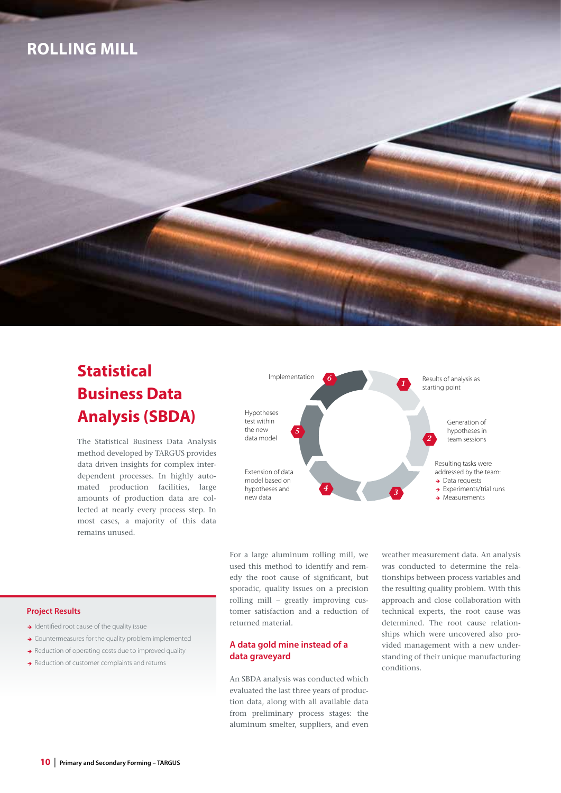### **ROLLING MILL**

# **Statistical Business Data Analysis (SBDA)**

The Statistical Business Data Analysis method developed by TARGUS provides data driven insights for complex interdependent processes. In highly automated production facilities, large amounts of production data are collected at nearly every process step. In most cases, a majority of this data remains unused.



For a large aluminum rolling mill, we used this method to identify and remedy the root cause of significant, but sporadic, quality issues on a precision rolling mill – greatly improving customer satisfaction and a reduction of returned material.

#### **A data gold mine instead of a data graveyard**

An SBDA analysis was conducted which evaluated the last three years of production data, along with all available data from preliminary process stages: the aluminum smelter, suppliers, and even

weather measurement data. An analysis was conducted to determine the relationships between process variables and the resulting quality problem. With this approach and close collaboration with technical experts, the root cause was determined. The root cause relationships which were uncovered also provided management with a new understanding of their unique manufacturing conditions.

- $\rightarrow$  Identified root cause of the quality issue
- $\rightarrow$  Countermeasures for the quality problem implemented
- $\rightarrow$  Reduction of operating costs due to improved quality
- $\rightarrow$  Reduction of customer complaints and returns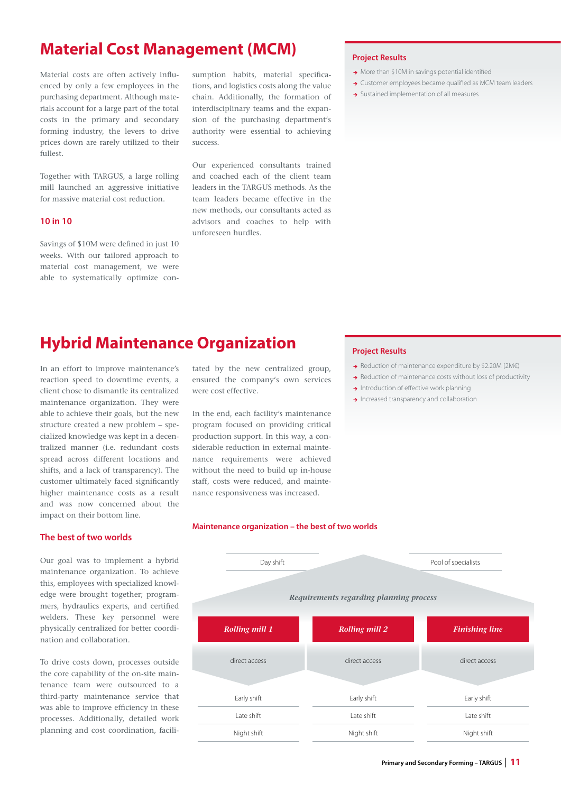### **Material Cost Management (MCM)**

Material costs are often actively influenced by only a few employees in the purchasing department. Although materials account for a large part of the total costs in the primary and secondary forming industry, the levers to drive prices down are rarely utilized to their fullest.

Together with TARGUS, a large rolling mill launched an aggressive initiative for massive material cost reduction.

#### **10 in 10**

Savings of \$10M were defined in just 10 weeks. With our tailored approach to material cost management, we were able to systematically optimize consumption habits, material specifications, and logistics costs along the value chain. Additionally, the formation of interdisciplinary teams and the expansion of the purchasing department's authority were essential to achieving success.

Our experienced consultants trained and coached each of the client team leaders in the TARGUS methods. As the team leaders became effective in the new methods, our consultants acted as advisors and coaches to help with unforeseen hurdles.

#### **Project Results**

- $\rightarrow$  More than \$10M in savings potential identified
- $\rightarrow$  Customer employees became qualified as MCM team leaders
- > Sustained implementation of all measures

### **Hybrid Maintenance Organization**

In an effort to improve maintenance's reaction speed to downtime events, a client chose to dismantle its centralized maintenance organization. They were able to achieve their goals, but the new structure created a new problem – specialized knowledge was kept in a decentralized manner (i.e. redundant costs spread across different locations and shifts, and a lack of transparency). The customer ultimately faced significantly higher maintenance costs as a result and was now concerned about the impact on their bottom line.

**The best of two worlds**

Our goal was to implement a hybrid maintenance organization. To achieve this, employees with specialized knowledge were brought together; programmers, hydraulics experts, and certified welders. These key personnel were physically centralized for better coordination and collaboration.

To drive costs down, processes outside the core capability of the on-site maintenance team were outsourced to a third-party maintenance service that was able to improve efficiency in these processes. Additionally, detailed work planning and cost coordination, facili-

tated by the new centralized group, ensured the company's own services were cost effective.

In the end, each facility's maintenance program focused on providing critical production support. In this way, a considerable reduction in external maintenance requirements were achieved without the need to build up in-house staff, costs were reduced, and maintenance responsiveness was increased.

#### **Maintenance organization – the best of two worlds**

### Day shift Pool of specialists Early shift Late shift Night shift Early shift Late shift Night shift Early shift Late shift Night shift *Requirements regarding planning process* direct access direct access direct access direct access direct access direct access direct access direct access *Rolling mill 1 Rolling mill 2 Finishing line*

- → Reduction of maintenance expenditure by \$2.20M (2M€)
- $\rightarrow$  Reduction of maintenance costs without loss of productivity
- $\rightarrow$  Introduction of effective work planning
- Increased transparency and collaboration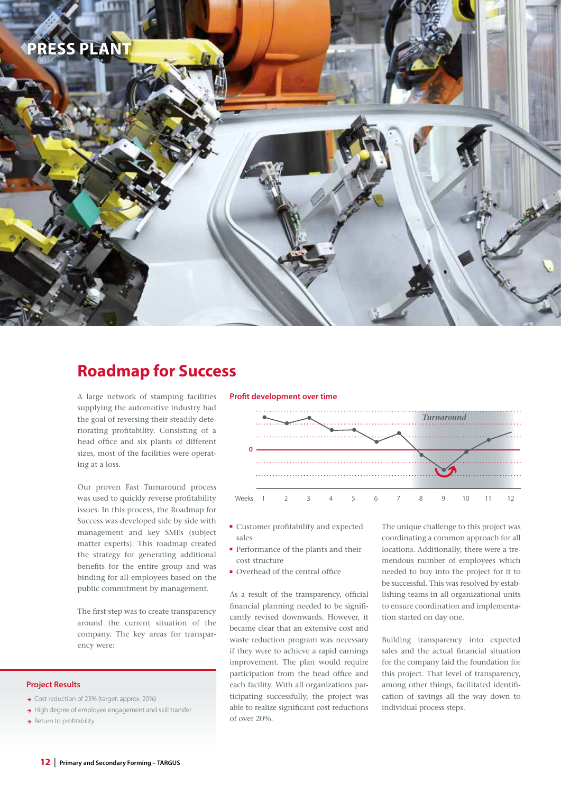

### **Roadmap for Success**

A large network of stamping facilities supplying the automotive industry had the goal of reversing their steadily deteriorating profitability. Consisting of a head office and six plants of different sizes, most of the facilities were operating at a loss.

Our proven Fast Turnaround process was used to quickly reverse profitability issues. In this process, the Roadmap for Success was developed side by side with management and key SMEs (subject matter experts). This roadmap created the strategy for generating additional benefits for the entire group and was binding for all employees based on the public commitment by management.

The first step was to create transparency around the current situation of the company. The key areas for transparency were:

#### **Project Results**

- ◆ Cost reduction of 23% (target: approx. 20%)
- High degree of employee engagement and skill transfer
- $\rightarrow$  Return to profitability

#### **Profit development over time**



- Customer profitability and expected sales
- Performance of the plants and their cost structure
- Overhead of the central office

As a result of the transparency, official financial planning needed to be significantly revised downwards. However, it became clear that an extensive cost and waste reduction program was necessary if they were to achieve a rapid earnings improvement. The plan would require participation from the head office and each facility. With all organizations participating successfully, the project was able to realize significant cost reductions of over 20%.

The unique challenge to this project was coordinating a common approach for all locations. Additionally, there were a tremendous number of employees which needed to buy into the project for it to be successful. This was resolved by establishing teams in all organizational units to ensure coordination and implementation started on day one.

Building transparency into expected sales and the actual financial situation for the company laid the foundation for this project. That level of transparency, among other things, facilitated identification of savings all the way down to individual process steps.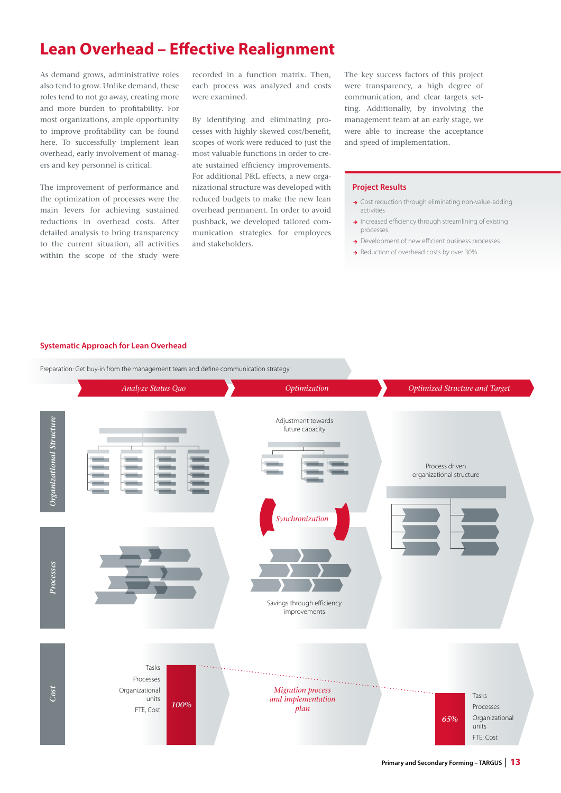### **Lean Overhead – Effective Realignment**

As demand grows, administrative roles also tend to grow. Unlike demand, these roles tend to not go away, creating more and more burden to profitability. For most organizations, ample opportunity to improve profitability can be found here. To successfully implement lean overhead, early involvement of managers and key personnel is critical.

The improvement of performance and the optimization of processes were the main levers for achieving sustained reductions in overhead costs. After detailed analysis to bring transparency to the current situation, all activities within the scope of the study were

recorded in a function matrix. Then, each process was analyzed and costs were examined.

By identifying and eliminating processes with highly skewed cost/benefit, scopes of work were reduced to just the most valuable functions in order to create sustained efficiency improvements. For additional P&L effects, a new organizational structure was developed with reduced budgets to make the new lean overhead permanent. In order to avoid pushback, we developed tailored communication strategies for employees and stakeholders.

The key success factors of this project were transparency, a high degree of communication, and clear targets setting. Additionally, by involving the management team at an early stage, we were able to increase the acceptance and speed of implementation.

#### **Project Results**

- $\rightarrow$  Cost reduction through eliminating non-value-adding activities
- $\rightarrow$  Increased efficiency through streamlining of existing processes
- → Development of new efficient business processes
- Reduction of overhead costs by over 30%

#### **Systematic Approach for Lean Overhead**

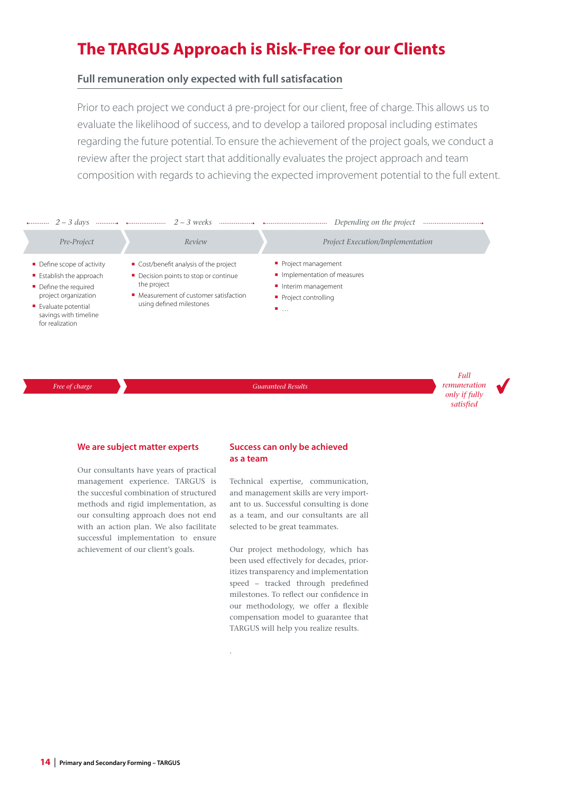### **The TARGUS Approach is Risk-Free for our Clients**

#### **Full remuneration only expected with full satisfacation**

. Prior to each project we conduct a pre-project for our client, free of charge. This allows us to evaluate the likelihood of success, and to develop a tailored proposal including estimates regarding the future potential. To ensure the achievement of the project goals, we conduct a review after the project start that additionally evaluates the project approach and team composition with regards to achieving the expected improvement potential to the full extent.



*Free of charge* **Guaranteed Results** 

*Full remuneration only if fully satisfied*

#### **We are subject matter experts**

Our consultants have years of practical management experience. TARGUS is the succesful combination of structured methods and rigid implementation, as our consulting approach does not end with an action plan. We also facilitate successful implementation to ensure achievement of our client's goals.

#### **Success can only be achieved as a team**

Technical expertise, communication, and management skills are very important to us. Successful consulting is done as a team, and our consultants are all selected to be great teammates.

Our project methodology, which has been used effectively for decades, prioritizes transparency and implementation speed – tracked through predefined milestones. To reflect our confidence in our methodology, we offer a flexible compensation model to guarantee that TARGUS will help you realize results.

.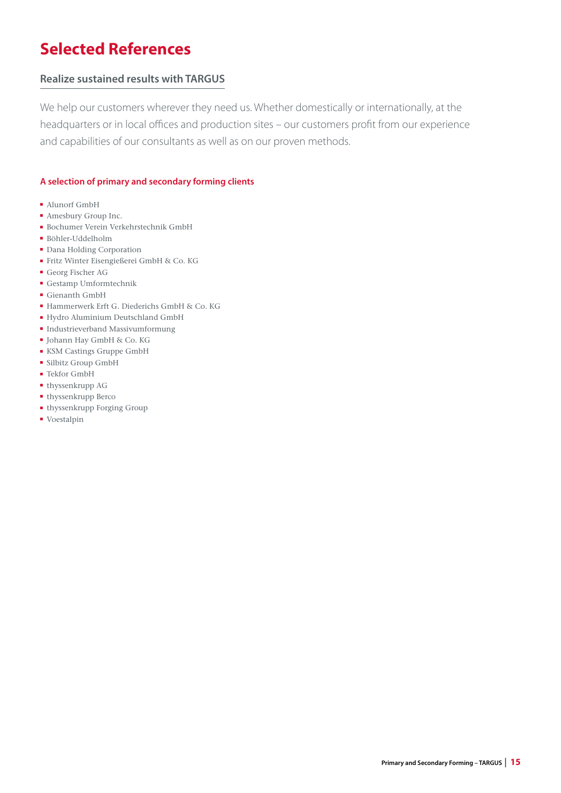# **Selected References**

### **Realize sustained results with TARGUS**

We help our customers wherever they need us. Whether domestically or internationally, at the headquarters or in local offices and production sites – our customers profit from our experience and capabilities of our consultants as well as on our proven methods.

#### **A selection of primary and secondary forming clients**

- Alunorf GmbH
- Amesbury Group Inc.
- Bochumer Verein Verkehrstechnik GmbH
- Böhler-Uddelholm
- Dana Holding Corporation
- Fritz Winter Eisengießerei GmbH & Co. KG
- Georg Fischer AG
- Gestamp Umformtechnik
- Gienanth GmbH
- Hammerwerk Erft G. Diederichs GmbH & Co. KG
- Hydro Aluminium Deutschland GmbH
- Industrieverband Massivumformung
- Johann Hay GmbH & Co. KG
- KSM Castings Gruppe GmbH
- Silbitz Group GmbH
- Tekfor GmbH
- thyssenkrupp AG
- thyssenkrupp Berco
- thyssenkrupp Forging Group
- Voestalpin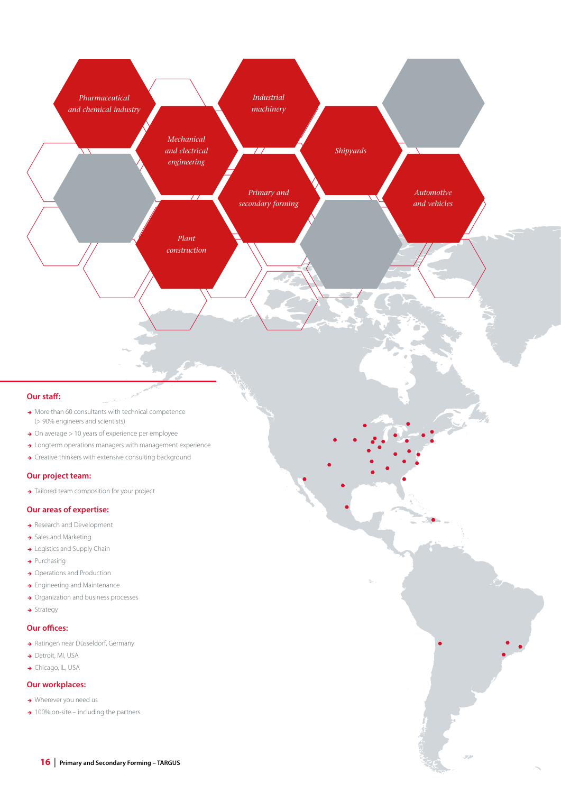

#### **Our staff:**

- $\rightarrow$  More than 60 consultants with technical competence (> 90% engineers and scientists)
- $\rightarrow$  On average  $>$  10 years of experience per employee
- $\rightarrow$  Longterm operations managers with management experience
- $\rightarrow$  Creative thinkers with extensive consulting background

#### **Our project team:**

 $\rightarrow$  Tailored team composition for your project

#### **Our areas of expertise:**

- Research and Development
- $\rightarrow$  Sales and Marketing
- $\rightarrow$  Logistics and Supply Chain
- $\rightarrow$  Purchasing
- → Operations and Production
- $\rightarrow$  Engineering and Maintenance
- $\rightarrow$  Organization and business processes
- $\rightarrow$  Strategy

#### **Our offices:**

- > Ratingen near Düsseldorf, Germany
- → Detroit, MI, USA
- → Chicago, IL, USA

#### **Our workplaces:**

- $\rightarrow$  Wherever you need us
- $\rightarrow$  100% on-site including the partners

ú.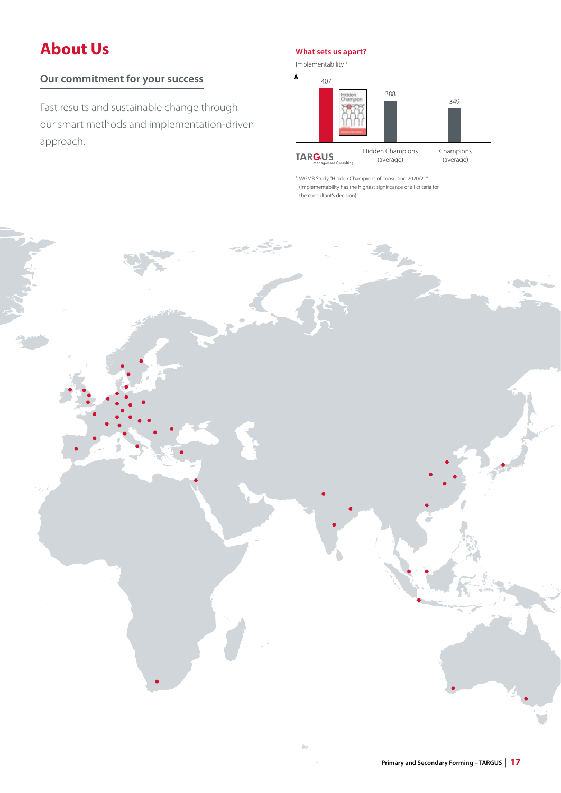# **About Us**

### **Our commitment for your success**

Fast results and sustainable change through our smart methods and implementation-driven approach.

#### **What sets us apart?**



1 WGMB Study "Hidden Champions of consulting 2020/21" (Implementability has the highest significance of all criteria for the consultant's decision)

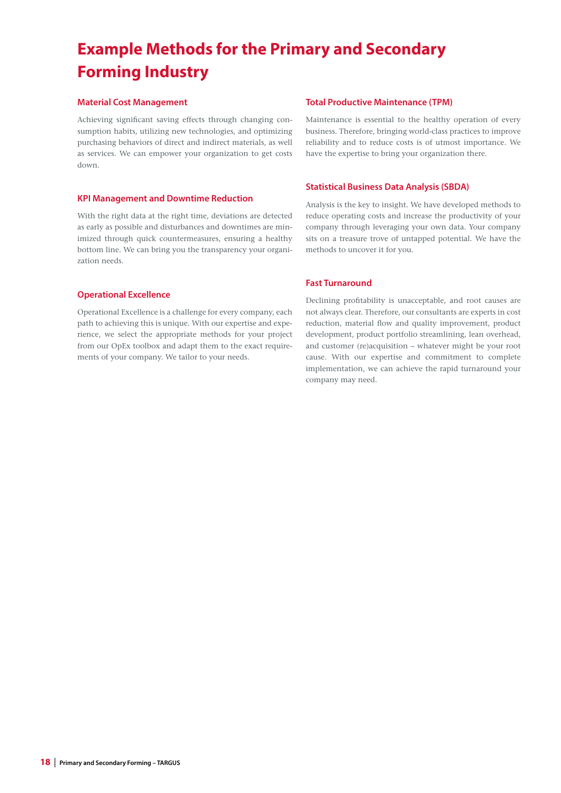# **Example Methods for the Primary and Secondary Forming Industry**

#### **Material Cost Management**

Achieving significant saving effects through changing consumption habits, utilizing new technologies, and optimizing purchasing behaviors of direct and indirect materials, as well as services. We can empower your organization to get costs down.

#### **KPI Management and Downtime Reduction**

With the right data at the right time, deviations are detected as early as possible and disturbances and downtimes are minimized through quick countermeasures, ensuring a healthy bottom line. We can bring you the transparency your organization needs.

#### **Operational Excellence**

Operational Excellence is a challenge for every company, each path to achieving this is unique. With our expertise and experience, we select the appropriate methods for your project from our OpEx toolbox and adapt them to the exact requirements of your company. We tailor to your needs.

#### **Total Productive Maintenance (TPM)**

Maintenance is essential to the healthy operation of every business. Therefore, bringing world-class practices to improve reliability and to reduce costs is of utmost importance. We have the expertise to bring your organization there.

#### **Statistical Business Data Analysis (SBDA)**

Analysis is the key to insight. We have developed methods to reduce operating costs and increase the productivity of your company through leveraging your own data. Your company sits on a treasure trove of untapped potential. We have the methods to uncover it for you.

#### **Fast Turnaround**

Declining profitability is unacceptable, and root causes are not always clear. Therefore, our consultants are experts in cost reduction, material flow and quality improvement, product development, product portfolio streamlining, lean overhead, and customer (re)acquisition – whatever might be your root cause. With our expertise and commitment to complete implementation, we can achieve the rapid turnaround your company may need.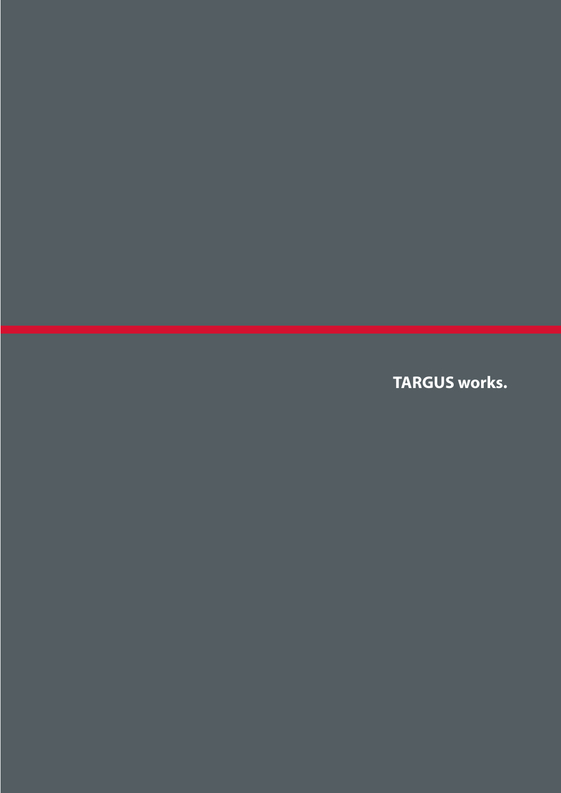**TARGUS works.**